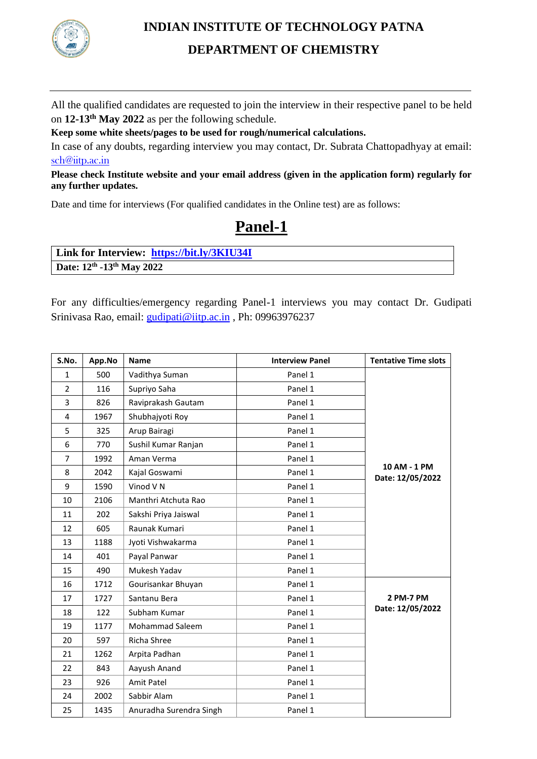

### **INDIAN INSTITUTE OF TECHNOLOGY PATNA DEPARTMENT OF CHEMISTRY**

All the qualified candidates are requested to join the interview in their respective panel to be held on **12-13 th May 2022** as per the following schedule.

**Keep some white sheets/pages to be used for rough/numerical calculations.**

In case of any doubts, regarding interview you may contact, Dr. Subrata Chattopadhyay at email: [sch@iitp.ac.in](mailto:sch@iitp.ac.in)

**Please check Institute website and your email address (given in the application form) regularly for any further updates.**

Date and time for interviews (For qualified candidates in the Online test) are as follows:

## **Panel-1**

**Link for Interview: <https://bit.ly/3KIU34I> Date: 12th -13 th May 2022**

For any difficulties/emergency regarding Panel-1 interviews you may contact Dr. Gudipati Srinivasa Rao, email: [gudipati@iitp.ac.in](mailto:gudipati@iitp.ac.in) , Ph: 09963976237

| S.No.          | App.No | <b>Name</b>             | <b>Interview Panel</b> | <b>Tentative Time slots</b>      |
|----------------|--------|-------------------------|------------------------|----------------------------------|
| $\mathbf{1}$   | 500    | Vadithya Suman          | Panel 1                |                                  |
| $\overline{2}$ | 116    | Supriyo Saha            | Panel 1                |                                  |
| 3              | 826    | Raviprakash Gautam      | Panel 1                |                                  |
| 4              | 1967   | Shubhajyoti Roy         | Panel 1                |                                  |
| 5              | 325    | Arup Bairagi            | Panel 1                |                                  |
| 6              | 770    | Sushil Kumar Ranjan     | Panel 1                |                                  |
| $\overline{7}$ | 1992   | Aman Verma              | Panel 1                |                                  |
| 8              | 2042   | Kajal Goswami           | Panel 1                | 10 AM - 1 PM<br>Date: 12/05/2022 |
| 9              | 1590   | Vinod VN                | Panel 1                |                                  |
| 10             | 2106   | Manthri Atchuta Rao     | Panel 1                |                                  |
| 11             | 202    | Sakshi Priya Jaiswal    | Panel 1                |                                  |
| 12             | 605    | Raunak Kumari           | Panel 1                |                                  |
| 13             | 1188   | Jyoti Vishwakarma       | Panel 1                |                                  |
| 14             | 401    | Payal Panwar            | Panel 1                |                                  |
| 15             | 490    | Mukesh Yadav            | Panel 1                |                                  |
| 16             | 1712   | Gourisankar Bhuyan      | Panel 1                |                                  |
| 17             | 1727   | Santanu Bera            | Panel 1                | 2 PM-7 PM                        |
| 18             | 122    | Subham Kumar            | Panel 1                | Date: 12/05/2022                 |
| 19             | 1177   | Mohammad Saleem         | Panel 1                |                                  |
| 20             | 597    | Richa Shree             | Panel 1                |                                  |
| 21             | 1262   | Arpita Padhan           | Panel 1                |                                  |
| 22             | 843    | Aayush Anand            | Panel 1                |                                  |
| 23             | 926    | Amit Patel              | Panel 1                |                                  |
| 24             | 2002   | Sabbir Alam             | Panel 1                |                                  |
| 25             | 1435   | Anuradha Surendra Singh | Panel 1                |                                  |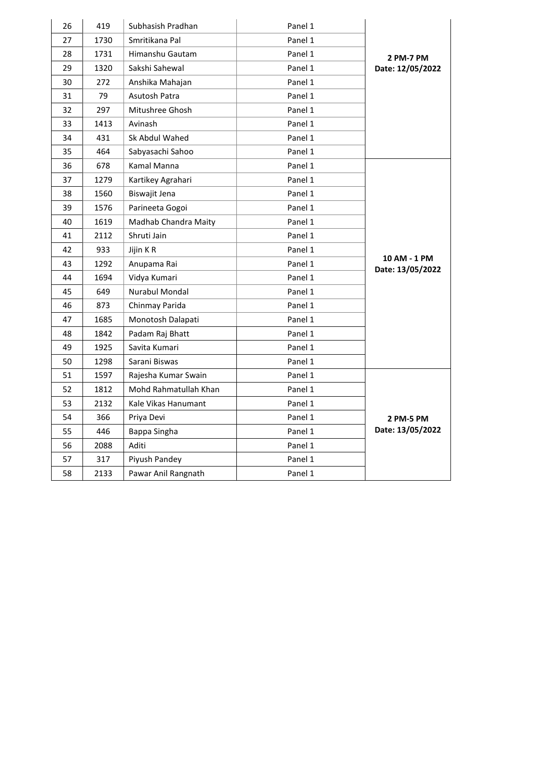| 26 | 419  | Subhasish Pradhan     | Panel 1 |                                  |
|----|------|-----------------------|---------|----------------------------------|
| 27 | 1730 | Smritikana Pal        | Panel 1 |                                  |
| 28 | 1731 | Himanshu Gautam       | Panel 1 | 2 PM-7 PM                        |
| 29 | 1320 | Sakshi Sahewal        | Panel 1 | Date: 12/05/2022                 |
| 30 | 272  | Anshika Mahajan       | Panel 1 |                                  |
| 31 | 79   | Asutosh Patra         | Panel 1 |                                  |
| 32 | 297  | Mitushree Ghosh       | Panel 1 |                                  |
| 33 | 1413 | Avinash               | Panel 1 |                                  |
| 34 | 431  | Sk Abdul Wahed        | Panel 1 |                                  |
| 35 | 464  | Sabyasachi Sahoo      | Panel 1 |                                  |
| 36 | 678  | Kamal Manna           | Panel 1 |                                  |
| 37 | 1279 | Kartikey Agrahari     | Panel 1 |                                  |
| 38 | 1560 | Biswajit Jena         | Panel 1 |                                  |
| 39 | 1576 | Parineeta Gogoi       | Panel 1 |                                  |
| 40 | 1619 | Madhab Chandra Maity  | Panel 1 |                                  |
| 41 | 2112 | Shruti Jain           | Panel 1 |                                  |
| 42 | 933  | Jijin KR              | Panel 1 |                                  |
| 43 | 1292 | Anupama Rai           | Panel 1 | 10 AM - 1 PM<br>Date: 13/05/2022 |
| 44 | 1694 | Vidya Kumari          | Panel 1 |                                  |
| 45 | 649  | Nurabul Mondal        | Panel 1 |                                  |
| 46 | 873  | Chinmay Parida        | Panel 1 |                                  |
| 47 | 1685 | Monotosh Dalapati     | Panel 1 |                                  |
| 48 | 1842 | Padam Raj Bhatt       | Panel 1 |                                  |
| 49 | 1925 | Savita Kumari         | Panel 1 |                                  |
| 50 | 1298 | Sarani Biswas         | Panel 1 |                                  |
| 51 | 1597 | Rajesha Kumar Swain   | Panel 1 |                                  |
| 52 | 1812 | Mohd Rahmatullah Khan | Panel 1 |                                  |
| 53 | 2132 | Kale Vikas Hanumant   | Panel 1 |                                  |
| 54 | 366  | Priya Devi            | Panel 1 | 2 PM-5 PM                        |
| 55 | 446  | Bappa Singha          | Panel 1 | Date: 13/05/2022                 |
| 56 | 2088 | Aditi                 | Panel 1 |                                  |
| 57 | 317  | Piyush Pandey         | Panel 1 |                                  |
| 58 | 2133 | Pawar Anil Rangnath   | Panel 1 |                                  |